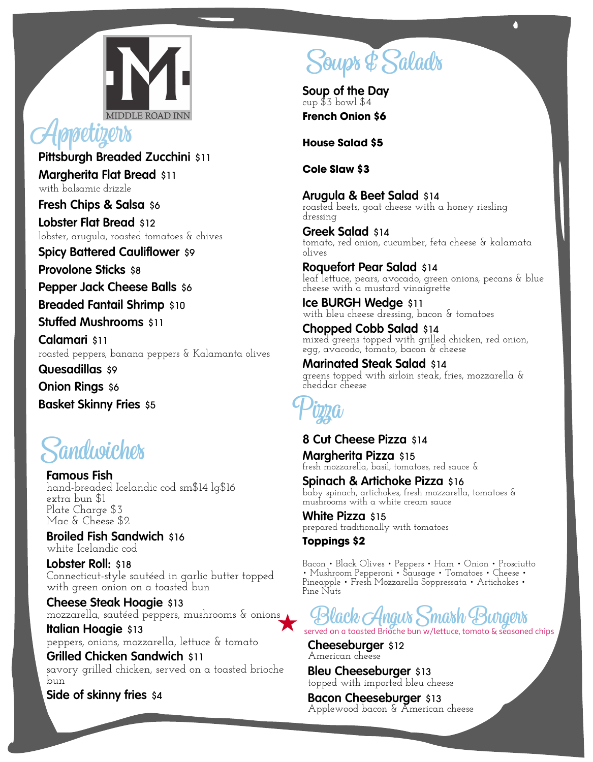

**Pittsburgh Breaded Zucchini** \$11 **Margherita Flat Bread** \$11 with balsamic drizzle

**Fresh Chips & Salsa** \$6

**Lobster Flat Bread** \$12 lobster, arugula, roasted tomatoes & chives

**Spicy Battered Cauliflower** \$9

**Provolone Sticks** \$8

**Pepper Jack Cheese Balls** \$6

**Breaded Fantail Shrimp** \$10

**Stuffed Mushrooms** \$11

**Calamari** \$11 roasted peppers, banana peppers & Kalamanta olives

**Quesadillas** \$9

**Onion Rings** \$6

**Basket Skinny Fries** \$5

### **Sandwiches**

**Famous Fish** hand-breaded Icelandic cod sm\$14 lg\$16 extra bun \$1 Plate Charge \$3 Mac & Cheese \$2 **Apple tizzers**<br>
Pittsburgh Breaded Zucchini \$11<br>
Margherita Flat Bread \$11<br>
with balsmin dizzle<br>
eresh Chips & Salsa \$6<br>
Lobster, angula, roasted tomatoes & chives<br>
Spicy Battered Cauliflower \$9<br>
Provolone Sticks \$8<br>
Pepp

**Broiled Fish Sandwich** \$16 white Icelandic cod

**Lobster Roll:** \$18 Connecticut-style sautéed in garlic butter topped with green onion on a toasted bun

**Cheese Steak Hoagie** \$13 mozzarella, sautéed peppers, mushrooms & onions

**Italian Hoagie** \$13 peppers, onions, mozzarella, lettuce & tomato

**Grilled Chicken Sandwich** \$11 savory grilled chicken, served on a toasted brioche bun

**Side of skinny fries** \$4

# **Soups&Salads**

**Soup of the Day** cup \$3 bowl \$4 **French Onion \$6**

**House Salad \$5**

**Cole Slaw \$3**

**Arugula & Beet Salad** \$14 roasted beets, goat cheese with a honey riesling dressing

**Greek Salad** \$14 tomato, red onion, cucumber, feta cheese & kalamata olives

**Roquefort Pear Salad** \$14 leaf lettuce, pears, avocado, green onions, pecans & blue cheese with a mustard vinaigrette

**Ice BURGH Wedge** \$11 with bleu cheese dressing, bacon & tomatoes

**Chopped Cobb Salad** \$14 mixed greens topped with grilled chicken, red onion, egg, avacodo, tomato, bacon & cheese

**Marinated Steak Salad** \$14 greens topped with sirloin steak, fries, mozzarella & cheddar cheese



### **8 Cut Cheese Pizza** \$14 **Margherita Pizza** \$15

fresh mozzarella, basil, tomatoes, red sauce &

**Spinach & Artichoke Pizza** \$16 baby spinach, artichokes, fresh mozzarella, tomatoes & mushrooms with a white cream sauce

**White Pizza** \$15 prepared traditionally with tomatoes

**Toppings \$2**

Bacon • Black Olives • Peppers • Ham • Onion • Prosciutto • Mushroom Pepperoni • Sausage • Tomatoes • Cheese • Pineapple • Fresh Mozzarella Soppressata • Artichokes • Pine Nuts



served on a toasted Brioche bun w/lettuce, tomato & seasoned chips

**Cheeseburger** \$12 American cheese

**Bleu Cheeseburger** \$13 topped with imported bleu cheese

**Bacon Cheeseburger** \$13 Applewood bacon & American cheese